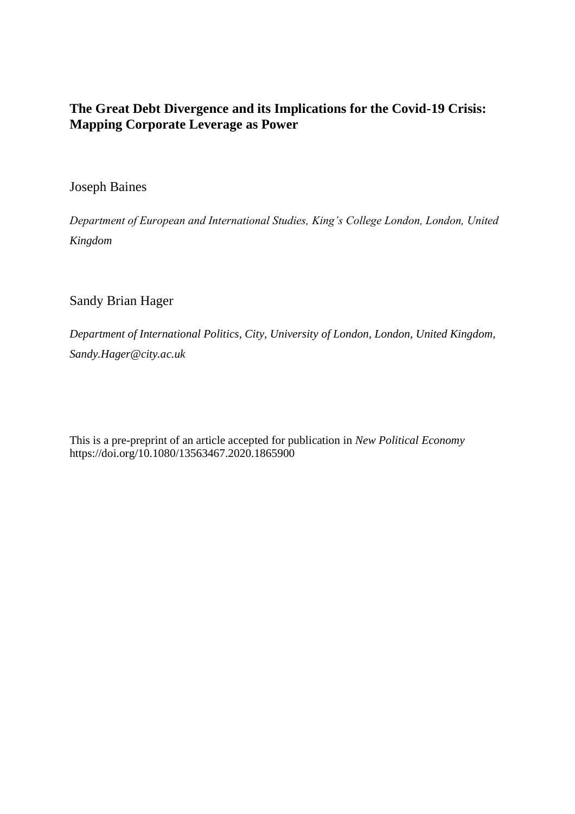# **The Great Debt Divergence and its Implications for the Covid-19 Crisis: Mapping Corporate Leverage as Power**

## Joseph Baines

*Department of European and International Studies, King's College London, London, United Kingdom*

# Sandy Brian Hager

*Department of International Politics, City, University of London, London, United Kingdom, Sandy.Hager@city.ac.uk*

This is a pre-preprint of an article accepted for publication in *New Political Economy* https://doi.org/10.1080/13563467.2020.1865900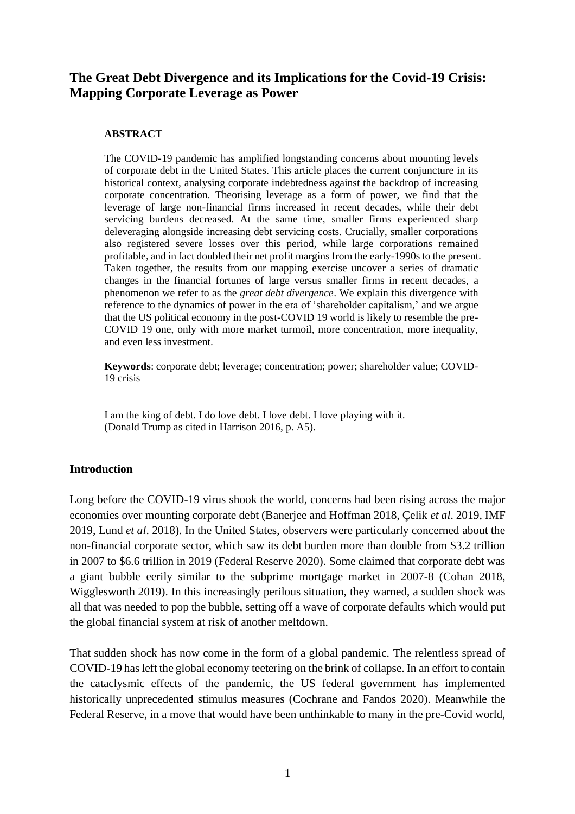## **The Great Debt Divergence and its Implications for the Covid-19 Crisis: Mapping Corporate Leverage as Power**

#### **ABSTRACT**

The COVID-19 pandemic has amplified longstanding concerns about mounting levels of corporate debt in the United States. This article places the current conjuncture in its historical context, analysing corporate indebtedness against the backdrop of increasing corporate concentration. Theorising leverage as a form of power, we find that the leverage of large non-financial firms increased in recent decades, while their debt servicing burdens decreased. At the same time, smaller firms experienced sharp deleveraging alongside increasing debt servicing costs. Crucially, smaller corporations also registered severe losses over this period, while large corporations remained profitable, and in fact doubled their net profit margins from the early-1990s to the present. Taken together, the results from our mapping exercise uncover a series of dramatic changes in the financial fortunes of large versus smaller firms in recent decades, a phenomenon we refer to as the *great debt divergence*. We explain this divergence with reference to the dynamics of power in the era of 'shareholder capitalism,' and we argue that the US political economy in the post-COVID 19 world is likely to resemble the pre-COVID 19 one, only with more market turmoil, more concentration, more inequality, and even less investment.

**Keywords**: corporate debt; leverage; concentration; power; shareholder value; COVID-19 crisis

I am the king of debt. I do love debt. I love debt. I love playing with it. (Donald Trump as cited in Harrison 2016, p. A5).

## **Introduction**

Long before the COVID-19 virus shook the world, concerns had been rising across the major economies over mounting corporate debt (Banerjee and Hoffman 2018, Çelik *et al*. 2019, IMF 2019, Lund *et al*. 2018). In the United States, observers were particularly concerned about the non-financial corporate sector, which saw its debt burden more than double from \$3.2 trillion in 2007 to \$6.6 trillion in 2019 (Federal Reserve 2020). Some claimed that corporate debt was a giant bubble eerily similar to the subprime mortgage market in 2007-8 (Cohan 2018, Wigglesworth 2019). In this increasingly perilous situation, they warned, a sudden shock was all that was needed to pop the bubble, setting off a wave of corporate defaults which would put the global financial system at risk of another meltdown.

That sudden shock has now come in the form of a global pandemic. The relentless spread of COVID-19 has left the global economy teetering on the brink of collapse. In an effort to contain the cataclysmic effects of the pandemic, the US federal government has implemented historically unprecedented stimulus measures (Cochrane and Fandos 2020). Meanwhile the Federal Reserve, in a move that would have been unthinkable to many in the pre-Covid world,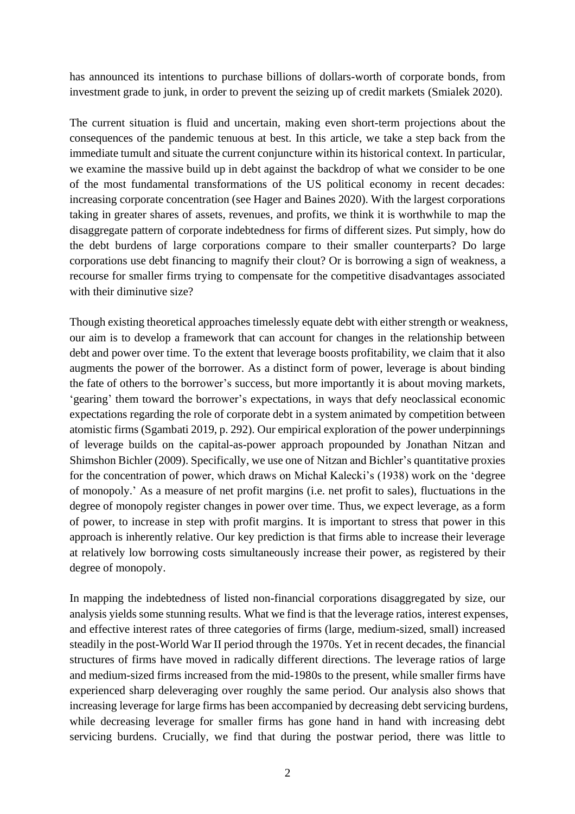has announced its intentions to purchase billions of dollars-worth of corporate bonds, from investment grade to junk, in order to prevent the seizing up of credit markets (Smialek 2020).

The current situation is fluid and uncertain, making even short-term projections about the consequences of the pandemic tenuous at best. In this article, we take a step back from the immediate tumult and situate the current conjuncture within its historical context. In particular, we examine the massive build up in debt against the backdrop of what we consider to be one of the most fundamental transformations of the US political economy in recent decades: increasing corporate concentration (see Hager and Baines 2020). With the largest corporations taking in greater shares of assets, revenues, and profits, we think it is worthwhile to map the disaggregate pattern of corporate indebtedness for firms of different sizes. Put simply, how do the debt burdens of large corporations compare to their smaller counterparts? Do large corporations use debt financing to magnify their clout? Or is borrowing a sign of weakness, a recourse for smaller firms trying to compensate for the competitive disadvantages associated with their diminutive size?

Though existing theoretical approaches timelessly equate debt with either strength or weakness, our aim is to develop a framework that can account for changes in the relationship between debt and power over time. To the extent that leverage boosts profitability, we claim that it also augments the power of the borrower. As a distinct form of power, leverage is about binding the fate of others to the borrower's success, but more importantly it is about moving markets, 'gearing' them toward the borrower's expectations, in ways that defy neoclassical economic expectations regarding the role of corporate debt in a system animated by competition between atomistic firms (Sgambati 2019, p. 292). Our empirical exploration of the power underpinnings of leverage builds on the capital-as-power approach propounded by Jonathan Nitzan and Shimshon Bichler (2009). Specifically, we use one of Nitzan and Bichler's quantitative proxies for the concentration of power, which draws on Michał Kalecki's (1938) work on the 'degree of monopoly.' As a measure of net profit margins (i.e. net profit to sales), fluctuations in the degree of monopoly register changes in power over time. Thus, we expect leverage, as a form of power, to increase in step with profit margins. It is important to stress that power in this approach is inherently relative. Our key prediction is that firms able to increase their leverage at relatively low borrowing costs simultaneously increase their power, as registered by their degree of monopoly.

In mapping the indebtedness of listed non-financial corporations disaggregated by size, our analysis yields some stunning results. What we find is that the leverage ratios, interest expenses, and effective interest rates of three categories of firms (large, medium-sized, small) increased steadily in the post-World War II period through the 1970s. Yet in recent decades, the financial structures of firms have moved in radically different directions. The leverage ratios of large and medium-sized firms increased from the mid-1980s to the present, while smaller firms have experienced sharp deleveraging over roughly the same period. Our analysis also shows that increasing leverage for large firms has been accompanied by decreasing debt servicing burdens, while decreasing leverage for smaller firms has gone hand in hand with increasing debt servicing burdens. Crucially, we find that during the postwar period, there was little to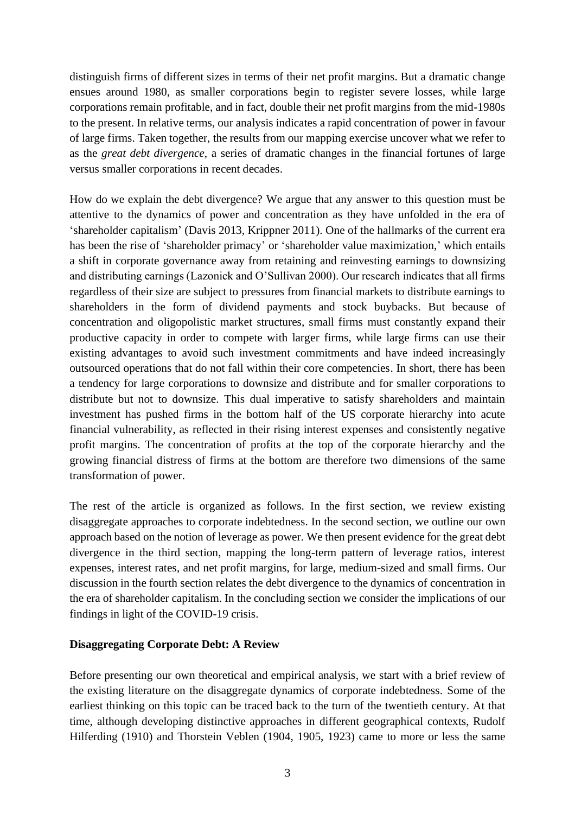distinguish firms of different sizes in terms of their net profit margins. But a dramatic change ensues around 1980, as smaller corporations begin to register severe losses, while large corporations remain profitable, and in fact, double their net profit margins from the mid-1980s to the present. In relative terms, our analysis indicates a rapid concentration of power in favour of large firms. Taken together, the results from our mapping exercise uncover what we refer to as the *great debt divergence*, a series of dramatic changes in the financial fortunes of large versus smaller corporations in recent decades.

How do we explain the debt divergence? We argue that any answer to this question must be attentive to the dynamics of power and concentration as they have unfolded in the era of 'shareholder capitalism' (Davis 2013, Krippner 2011). One of the hallmarks of the current era has been the rise of 'shareholder primacy' or 'shareholder value maximization,' which entails a shift in corporate governance away from retaining and reinvesting earnings to downsizing and distributing earnings (Lazonick and O'Sullivan 2000). Our research indicates that all firms regardless of their size are subject to pressures from financial markets to distribute earnings to shareholders in the form of dividend payments and stock buybacks. But because of concentration and oligopolistic market structures, small firms must constantly expand their productive capacity in order to compete with larger firms, while large firms can use their existing advantages to avoid such investment commitments and have indeed increasingly outsourced operations that do not fall within their core competencies. In short, there has been a tendency for large corporations to downsize and distribute and for smaller corporations to distribute but not to downsize. This dual imperative to satisfy shareholders and maintain investment has pushed firms in the bottom half of the US corporate hierarchy into acute financial vulnerability, as reflected in their rising interest expenses and consistently negative profit margins. The concentration of profits at the top of the corporate hierarchy and the growing financial distress of firms at the bottom are therefore two dimensions of the same transformation of power.

The rest of the article is organized as follows. In the first section, we review existing disaggregate approaches to corporate indebtedness. In the second section, we outline our own approach based on the notion of leverage as power. We then present evidence for the great debt divergence in the third section, mapping the long-term pattern of leverage ratios, interest expenses, interest rates, and net profit margins, for large, medium-sized and small firms. Our discussion in the fourth section relates the debt divergence to the dynamics of concentration in the era of shareholder capitalism. In the concluding section we consider the implications of our findings in light of the COVID-19 crisis.

## **Disaggregating Corporate Debt: A Review**

Before presenting our own theoretical and empirical analysis, we start with a brief review of the existing literature on the disaggregate dynamics of corporate indebtedness. Some of the earliest thinking on this topic can be traced back to the turn of the twentieth century. At that time, although developing distinctive approaches in different geographical contexts, Rudolf Hilferding (1910) and Thorstein Veblen (1904, 1905, 1923) came to more or less the same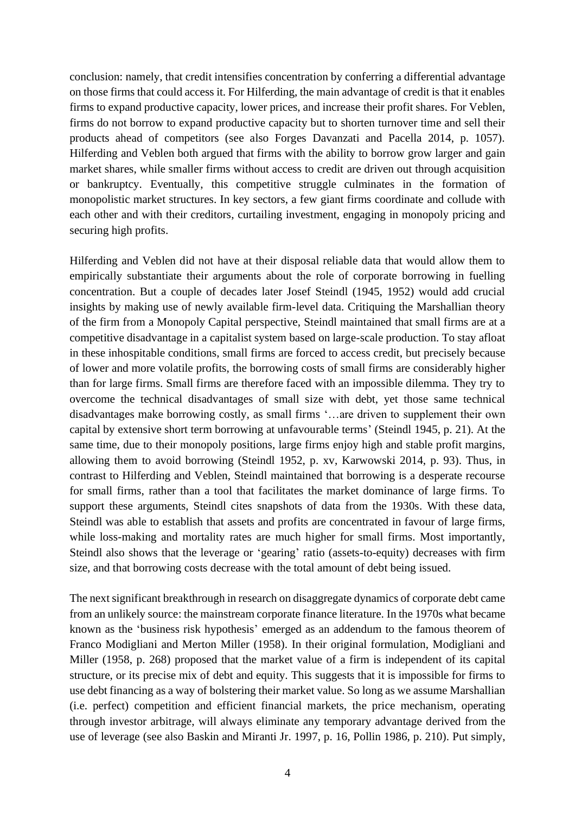conclusion: namely, that credit intensifies concentration by conferring a differential advantage on those firms that could access it. For Hilferding, the main advantage of credit is that it enables firms to expand productive capacity, lower prices, and increase their profit shares. For Veblen, firms do not borrow to expand productive capacity but to shorten turnover time and sell their products ahead of competitors (see also Forges Davanzati and Pacella 2014, p. 1057). Hilferding and Veblen both argued that firms with the ability to borrow grow larger and gain market shares, while smaller firms without access to credit are driven out through acquisition or bankruptcy. Eventually, this competitive struggle culminates in the formation of monopolistic market structures. In key sectors, a few giant firms coordinate and collude with each other and with their creditors, curtailing investment, engaging in monopoly pricing and securing high profits.

Hilferding and Veblen did not have at their disposal reliable data that would allow them to empirically substantiate their arguments about the role of corporate borrowing in fuelling concentration. But a couple of decades later Josef Steindl (1945, 1952) would add crucial insights by making use of newly available firm-level data. Critiquing the Marshallian theory of the firm from a Monopoly Capital perspective, Steindl maintained that small firms are at a competitive disadvantage in a capitalist system based on large-scale production. To stay afloat in these inhospitable conditions, small firms are forced to access credit, but precisely because of lower and more volatile profits, the borrowing costs of small firms are considerably higher than for large firms. Small firms are therefore faced with an impossible dilemma. They try to overcome the technical disadvantages of small size with debt, yet those same technical disadvantages make borrowing costly, as small firms '…are driven to supplement their own capital by extensive short term borrowing at unfavourable terms' (Steindl 1945, p. 21). At the same time, due to their monopoly positions, large firms enjoy high and stable profit margins, allowing them to avoid borrowing (Steindl 1952, p. xv, Karwowski 2014, p. 93). Thus, in contrast to Hilferding and Veblen, Steindl maintained that borrowing is a desperate recourse for small firms, rather than a tool that facilitates the market dominance of large firms. To support these arguments, Steindl cites snapshots of data from the 1930s. With these data, Steindl was able to establish that assets and profits are concentrated in favour of large firms, while loss-making and mortality rates are much higher for small firms. Most importantly, Steindl also shows that the leverage or 'gearing' ratio (assets-to-equity) decreases with firm size, and that borrowing costs decrease with the total amount of debt being issued.

The next significant breakthrough in research on disaggregate dynamics of corporate debt came from an unlikely source: the mainstream corporate finance literature. In the 1970s what became known as the 'business risk hypothesis' emerged as an addendum to the famous theorem of Franco Modigliani and Merton Miller (1958). In their original formulation, Modigliani and Miller (1958, p. 268) proposed that the market value of a firm is independent of its capital structure, or its precise mix of debt and equity. This suggests that it is impossible for firms to use debt financing as a way of bolstering their market value. So long as we assume Marshallian (i.e. perfect) competition and efficient financial markets, the price mechanism, operating through investor arbitrage, will always eliminate any temporary advantage derived from the use of leverage (see also Baskin and Miranti Jr. 1997, p. 16, Pollin 1986, p. 210). Put simply,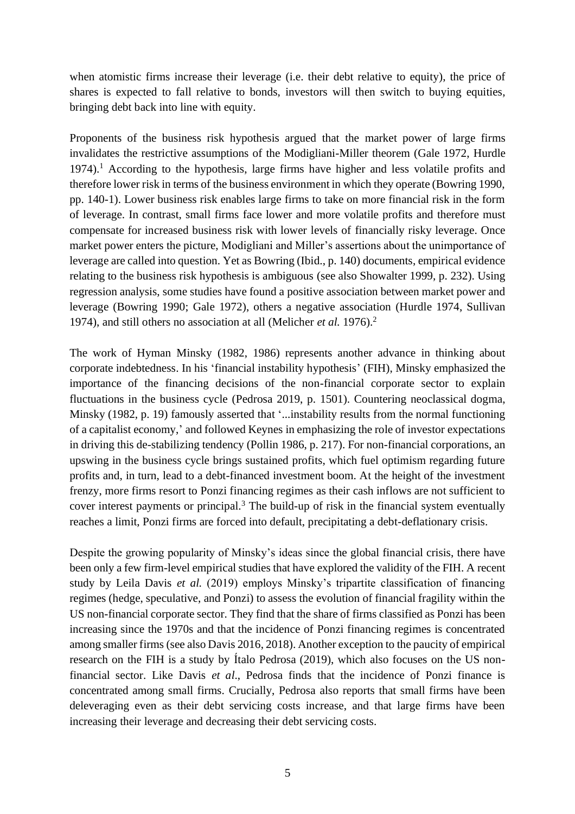when atomistic firms increase their leverage (i.e. their debt relative to equity), the price of shares is expected to fall relative to bonds, investors will then switch to buying equities, bringing debt back into line with equity.

Proponents of the business risk hypothesis argued that the market power of large firms invalidates the restrictive assumptions of the Modigliani-Miller theorem (Gale 1972, Hurdle  $1974$ ).<sup>1</sup> According to the hypothesis, large firms have higher and less volatile profits and therefore lower risk in terms of the business environment in which they operate (Bowring 1990, pp. 140-1). Lower business risk enables large firms to take on more financial risk in the form of leverage. In contrast, small firms face lower and more volatile profits and therefore must compensate for increased business risk with lower levels of financially risky leverage. Once market power enters the picture, Modigliani and Miller's assertions about the unimportance of leverage are called into question. Yet as Bowring (Ibid., p. 140) documents, empirical evidence relating to the business risk hypothesis is ambiguous (see also Showalter 1999, p. 232). Using regression analysis, some studies have found a positive association between market power and leverage (Bowring 1990; Gale 1972), others a negative association (Hurdle 1974, Sullivan 1974), and still others no association at all (Melicher *et al.* 1976).<sup>2</sup>

The work of Hyman Minsky (1982, 1986) represents another advance in thinking about corporate indebtedness. In his 'financial instability hypothesis' (FIH), Minsky emphasized the importance of the financing decisions of the non-financial corporate sector to explain fluctuations in the business cycle (Pedrosa 2019, p. 1501). Countering neoclassical dogma, Minsky (1982, p. 19) famously asserted that '...instability results from the normal functioning of a capitalist economy,' and followed Keynes in emphasizing the role of investor expectations in driving this de-stabilizing tendency (Pollin 1986, p. 217). For non-financial corporations, an upswing in the business cycle brings sustained profits, which fuel optimism regarding future profits and, in turn, lead to a debt-financed investment boom. At the height of the investment frenzy, more firms resort to Ponzi financing regimes as their cash inflows are not sufficient to cover interest payments or principal.<sup>3</sup> The build-up of risk in the financial system eventually reaches a limit, Ponzi firms are forced into default, precipitating a debt-deflationary crisis.

Despite the growing popularity of Minsky's ideas since the global financial crisis, there have been only a few firm-level empirical studies that have explored the validity of the FIH. A recent study by Leila Davis *et al.* (2019) employs Minsky's tripartite classification of financing regimes (hedge, speculative, and Ponzi) to assess the evolution of financial fragility within the US non-financial corporate sector. They find that the share of firms classified as Ponzi has been increasing since the 1970s and that the incidence of Ponzi financing regimes is concentrated among smaller firms (see also Davis 2016, 2018). Another exception to the paucity of empirical research on the FIH is a study by Ítalo Pedrosa (2019), which also focuses on the US nonfinancial sector. Like Davis *et al*., Pedrosa finds that the incidence of Ponzi finance is concentrated among small firms. Crucially, Pedrosa also reports that small firms have been deleveraging even as their debt servicing costs increase, and that large firms have been increasing their leverage and decreasing their debt servicing costs.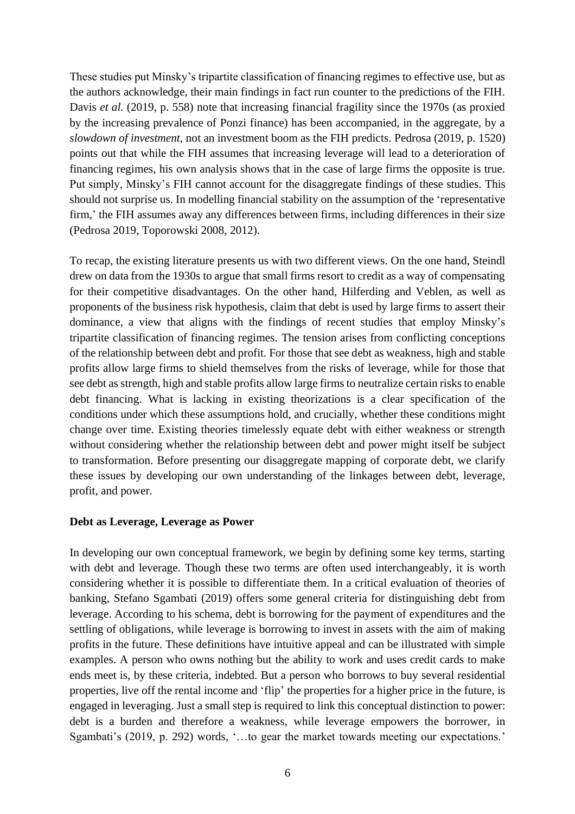These studies put Minsky's tripartite classification of financing regimes to effective use, but as the authors acknowledge, their main findings in fact run counter to the predictions of the FIH. Davis *et al.* (2019, p. 558) note that increasing financial fragility since the 1970s (as proxied by the increasing prevalence of Ponzi finance) has been accompanied, in the aggregate, by a *slowdown of investment*, not an investment boom as the FIH predicts. Pedrosa (2019, p. 1520) points out that while the FIH assumes that increasing leverage will lead to a deterioration of financing regimes, his own analysis shows that in the case of large firms the opposite is true. Put simply, Minsky's FIH cannot account for the disaggregate findings of these studies. This should not surprise us. In modelling financial stability on the assumption of the 'representative firm,' the FIH assumes away any differences between firms, including differences in their size (Pedrosa 2019, Toporowski 2008, 2012).

To recap, the existing literature presents us with two different views. On the one hand, Steindl drew on data from the 1930s to argue that small firms resort to credit as a way of compensating for their competitive disadvantages. On the other hand, Hilferding and Veblen, as well as proponents of the business risk hypothesis, claim that debt is used by large firms to assert their dominance, a view that aligns with the findings of recent studies that employ Minsky's tripartite classification of financing regimes. The tension arises from conflicting conceptions of the relationship between debt and profit. For those that see debt as weakness, high and stable profits allow large firms to shield themselves from the risks of leverage, while for those that see debt as strength, high and stable profits allow large firms to neutralize certain risks to enable debt financing. What is lacking in existing theorizations is a clear specification of the conditions under which these assumptions hold, and crucially, whether these conditions might change over time. Existing theories timelessly equate debt with either weakness or strength without considering whether the relationship between debt and power might itself be subject to transformation. Before presenting our disaggregate mapping of corporate debt, we clarify these issues by developing our own understanding of the linkages between debt, leverage, profit, and power.

## **Debt as Leverage, Leverage as Power**

In developing our own conceptual framework, we begin by defining some key terms, starting with debt and leverage. Though these two terms are often used interchangeably, it is worth considering whether it is possible to differentiate them. In a critical evaluation of theories of banking, Stefano Sgambati (2019) offers some general criteria for distinguishing debt from leverage. According to his schema, debt is borrowing for the payment of expenditures and the settling of obligations, while leverage is borrowing to invest in assets with the aim of making profits in the future. These definitions have intuitive appeal and can be illustrated with simple examples. A person who owns nothing but the ability to work and uses credit cards to make ends meet is, by these criteria, indebted. But a person who borrows to buy several residential properties, live off the rental income and 'flip' the properties for a higher price in the future, is engaged in leveraging. Just a small step is required to link this conceptual distinction to power: debt is a burden and therefore a weakness, while leverage empowers the borrower, in Sgambati's (2019, p. 292) words, '…to gear the market towards meeting our expectations.'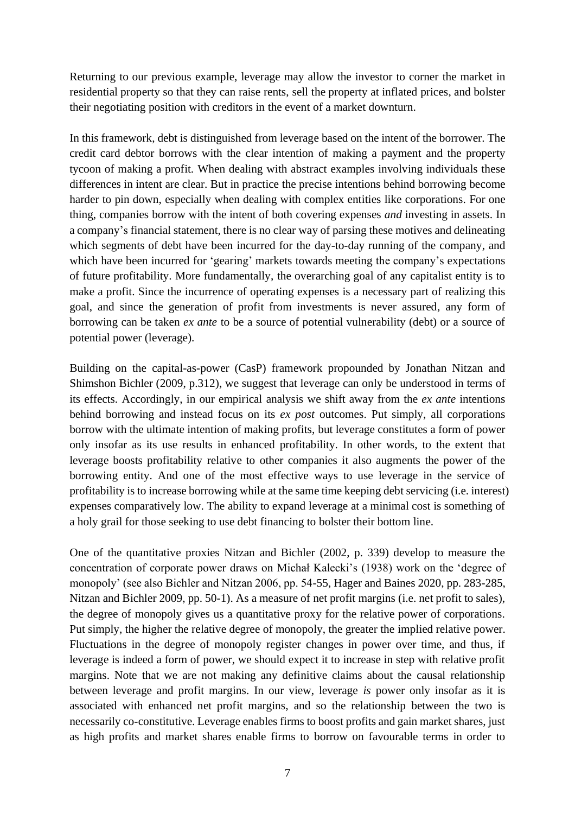Returning to our previous example, leverage may allow the investor to corner the market in residential property so that they can raise rents, sell the property at inflated prices, and bolster their negotiating position with creditors in the event of a market downturn.

In this framework, debt is distinguished from leverage based on the intent of the borrower. The credit card debtor borrows with the clear intention of making a payment and the property tycoon of making a profit. When dealing with abstract examples involving individuals these differences in intent are clear. But in practice the precise intentions behind borrowing become harder to pin down, especially when dealing with complex entities like corporations. For one thing, companies borrow with the intent of both covering expenses *and* investing in assets. In a company's financial statement, there is no clear way of parsing these motives and delineating which segments of debt have been incurred for the day-to-day running of the company, and which have been incurred for 'gearing' markets towards meeting the company's expectations of future profitability. More fundamentally, the overarching goal of any capitalist entity is to make a profit. Since the incurrence of operating expenses is a necessary part of realizing this goal, and since the generation of profit from investments is never assured, any form of borrowing can be taken *ex ante* to be a source of potential vulnerability (debt) or a source of potential power (leverage).

Building on the capital-as-power (CasP) framework propounded by Jonathan Nitzan and Shimshon Bichler (2009, p.312), we suggest that leverage can only be understood in terms of its effects. Accordingly, in our empirical analysis we shift away from the *ex ante* intentions behind borrowing and instead focus on its *ex post* outcomes. Put simply, all corporations borrow with the ultimate intention of making profits, but leverage constitutes a form of power only insofar as its use results in enhanced profitability. In other words, to the extent that leverage boosts profitability relative to other companies it also augments the power of the borrowing entity. And one of the most effective ways to use leverage in the service of profitability is to increase borrowing while at the same time keeping debt servicing (i.e. interest) expenses comparatively low. The ability to expand leverage at a minimal cost is something of a holy grail for those seeking to use debt financing to bolster their bottom line.

One of the quantitative proxies Nitzan and Bichler (2002, p. 339) develop to measure the concentration of corporate power draws on Michał Kalecki's (1938) work on the 'degree of monopoly' (see also Bichler and Nitzan 2006, pp. 54-55, Hager and Baines 2020, pp. 283-285, Nitzan and Bichler 2009, pp. 50-1). As a measure of net profit margins (i.e. net profit to sales), the degree of monopoly gives us a quantitative proxy for the relative power of corporations. Put simply, the higher the relative degree of monopoly, the greater the implied relative power. Fluctuations in the degree of monopoly register changes in power over time, and thus, if leverage is indeed a form of power, we should expect it to increase in step with relative profit margins. Note that we are not making any definitive claims about the causal relationship between leverage and profit margins. In our view, leverage *is* power only insofar as it is associated with enhanced net profit margins, and so the relationship between the two is necessarily co-constitutive. Leverage enables firms to boost profits and gain market shares, just as high profits and market shares enable firms to borrow on favourable terms in order to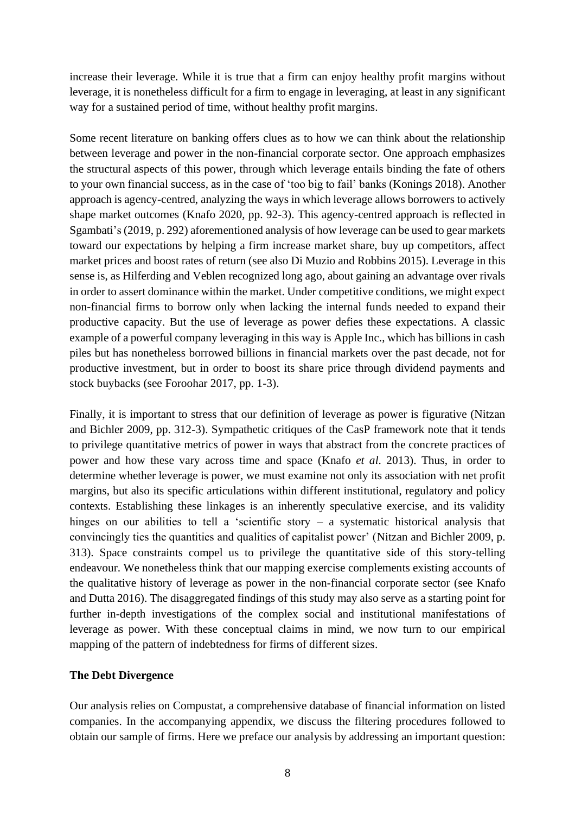increase their leverage. While it is true that a firm can enjoy healthy profit margins without leverage, it is nonetheless difficult for a firm to engage in leveraging, at least in any significant way for a sustained period of time, without healthy profit margins.

Some recent literature on banking offers clues as to how we can think about the relationship between leverage and power in the non-financial corporate sector. One approach emphasizes the structural aspects of this power, through which leverage entails binding the fate of others to your own financial success, as in the case of 'too big to fail' banks (Konings 2018). Another approach is agency-centred, analyzing the ways in which leverage allows borrowers to actively shape market outcomes (Knafo 2020, pp. 92-3). This agency-centred approach is reflected in Sgambati's(2019, p. 292) aforementioned analysis of how leverage can be used to gear markets toward our expectations by helping a firm increase market share, buy up competitors, affect market prices and boost rates of return (see also Di Muzio and Robbins 2015). Leverage in this sense is, as Hilferding and Veblen recognized long ago, about gaining an advantage over rivals in order to assert dominance within the market. Under competitive conditions, we might expect non-financial firms to borrow only when lacking the internal funds needed to expand their productive capacity. But the use of leverage as power defies these expectations. A classic example of a powerful company leveraging in this way is Apple Inc., which has billions in cash piles but has nonetheless borrowed billions in financial markets over the past decade, not for productive investment, but in order to boost its share price through dividend payments and stock buybacks (see Foroohar 2017, pp. 1-3).

Finally, it is important to stress that our definition of leverage as power is figurative (Nitzan and Bichler 2009, pp. 312-3). Sympathetic critiques of the CasP framework note that it tends to privilege quantitative metrics of power in ways that abstract from the concrete practices of power and how these vary across time and space (Knafo *et al*. 2013). Thus, in order to determine whether leverage is power, we must examine not only its association with net profit margins, but also its specific articulations within different institutional, regulatory and policy contexts. Establishing these linkages is an inherently speculative exercise, and its validity hinges on our abilities to tell a 'scientific story  $-$  a systematic historical analysis that convincingly ties the quantities and qualities of capitalist power' (Nitzan and Bichler 2009, p. 313). Space constraints compel us to privilege the quantitative side of this story-telling endeavour. We nonetheless think that our mapping exercise complements existing accounts of the qualitative history of leverage as power in the non-financial corporate sector (see Knafo and Dutta 2016). The disaggregated findings of this study may also serve as a starting point for further in-depth investigations of the complex social and institutional manifestations of leverage as power. With these conceptual claims in mind, we now turn to our empirical mapping of the pattern of indebtedness for firms of different sizes.

## **The Debt Divergence**

Our analysis relies on Compustat, a comprehensive database of financial information on listed companies. In the accompanying appendix, we discuss the filtering procedures followed to obtain our sample of firms. Here we preface our analysis by addressing an important question: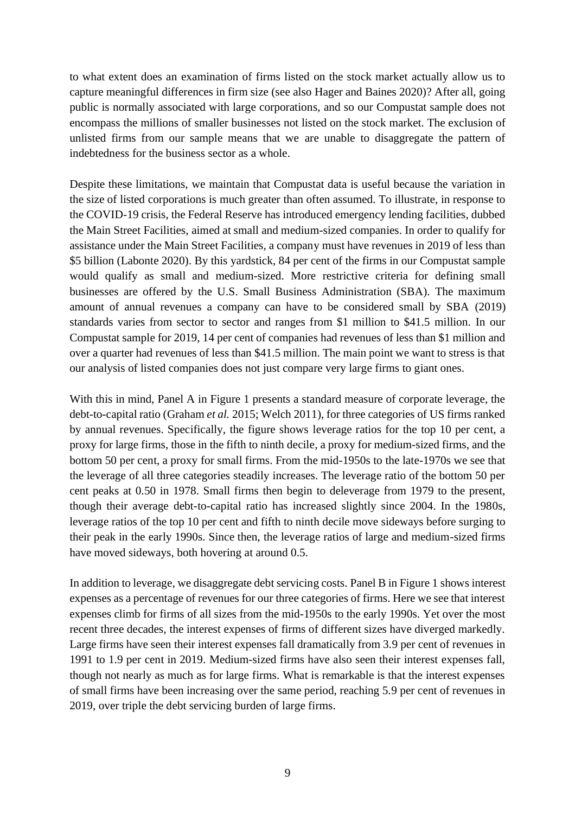to what extent does an examination of firms listed on the stock market actually allow us to capture meaningful differences in firm size (see also Hager and Baines 2020)? After all, going public is normally associated with large corporations, and so our Compustat sample does not encompass the millions of smaller businesses not listed on the stock market. The exclusion of unlisted firms from our sample means that we are unable to disaggregate the pattern of indebtedness for the business sector as a whole.

Despite these limitations, we maintain that Compustat data is useful because the variation in the size of listed corporations is much greater than often assumed. To illustrate, in response to the COVID-19 crisis, the Federal Reserve has introduced emergency lending facilities, dubbed the Main Street Facilities, aimed at small and medium-sized companies. In order to qualify for assistance under the Main Street Facilities, a company must have revenues in 2019 of less than \$5 billion (Labonte 2020). By this yardstick, 84 per cent of the firms in our Compustat sample would qualify as small and medium-sized. More restrictive criteria for defining small businesses are offered by the U.S. Small Business Administration (SBA). The maximum amount of annual revenues a company can have to be considered small by SBA (2019) standards varies from sector to sector and ranges from \$1 million to \$41.5 million. In our Compustat sample for 2019, 14 per cent of companies had revenues of less than \$1 million and over a quarter had revenues of less than \$41.5 million. The main point we want to stress is that our analysis of listed companies does not just compare very large firms to giant ones.

With this in mind, Panel A in Figure 1 presents a standard measure of corporate leverage, the debt-to-capital ratio (Graham *et al.* 2015; Welch 2011), for three categories of US firms ranked by annual revenues. Specifically, the figure shows leverage ratios for the top 10 per cent, a proxy for large firms, those in the fifth to ninth decile, a proxy for medium-sized firms, and the bottom 50 per cent, a proxy for small firms. From the mid-1950s to the late-1970s we see that the leverage of all three categories steadily increases. The leverage ratio of the bottom 50 per cent peaks at 0.50 in 1978. Small firms then begin to deleverage from 1979 to the present, though their average debt-to-capital ratio has increased slightly since 2004. In the 1980s, leverage ratios of the top 10 per cent and fifth to ninth decile move sideways before surging to their peak in the early 1990s. Since then, the leverage ratios of large and medium-sized firms have moved sideways, both hovering at around 0.5.

In addition to leverage, we disaggregate debt servicing costs. Panel B in Figure 1 shows interest expenses as a percentage of revenues for our three categories of firms. Here we see that interest expenses climb for firms of all sizes from the mid-1950s to the early 1990s. Yet over the most recent three decades, the interest expenses of firms of different sizes have diverged markedly. Large firms have seen their interest expenses fall dramatically from 3.9 per cent of revenues in 1991 to 1.9 per cent in 2019. Medium-sized firms have also seen their interest expenses fall, though not nearly as much as for large firms. What is remarkable is that the interest expenses of small firms have been increasing over the same period, reaching 5.9 per cent of revenues in 2019, over triple the debt servicing burden of large firms.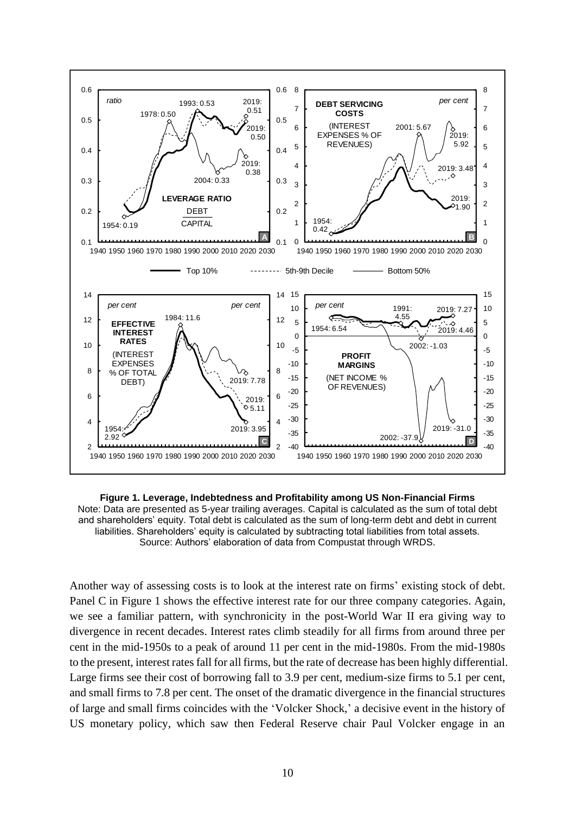

**Figure 1. Leverage, Indebtedness and Profitability among US Non-Financial Firms** Note: Data are presented as 5-year trailing averages. Capital is calculated as the sum of total debt and shareholders' equity. Total debt is calculated as the sum of long-term debt and debt in current liabilities. Shareholders' equity is calculated by subtracting total liabilities from total assets. Source: Authors' elaboration of data from Compustat through WRDS.

Another way of assessing costs is to look at the interest rate on firms' existing stock of debt. Panel C in Figure 1 shows the effective interest rate for our three company categories. Again, we see a familiar pattern, with synchronicity in the post-World War II era giving way to divergence in recent decades. Interest rates climb steadily for all firms from around three per cent in the mid-1950s to a peak of around 11 per cent in the mid-1980s. From the mid-1980s to the present, interest ratesfall for all firms, but the rate of decrease has been highly differential. Large firms see their cost of borrowing fall to 3.9 per cent, medium-size firms to 5.1 per cent, and small firms to 7.8 per cent. The onset of the dramatic divergence in the financial structures of large and small firms coincides with the 'Volcker Shock,' a decisive event in the history of US monetary policy, which saw then Federal Reserve chair Paul Volcker engage in an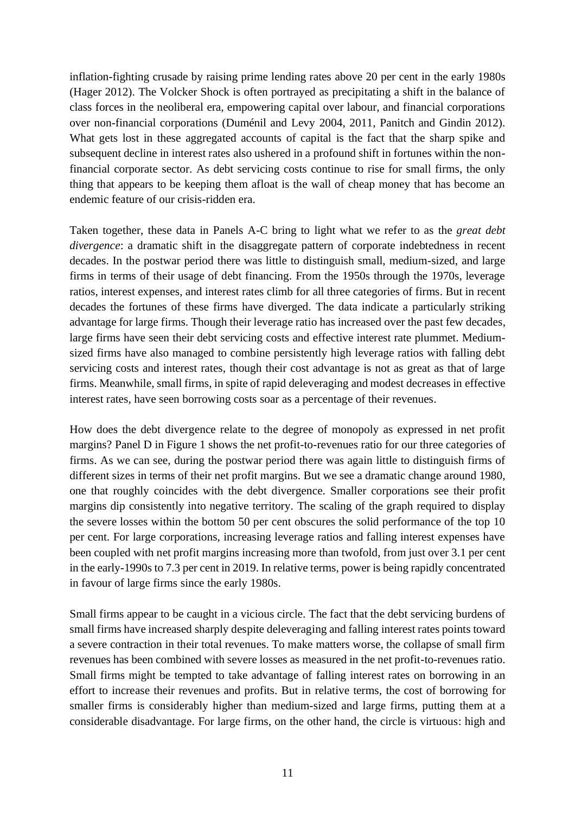inflation-fighting crusade by raising prime lending rates above 20 per cent in the early 1980s (Hager 2012). The Volcker Shock is often portrayed as precipitating a shift in the balance of class forces in the neoliberal era, empowering capital over labour, and financial corporations over non-financial corporations (Duménil and Levy 2004, 2011, Panitch and Gindin 2012). What gets lost in these aggregated accounts of capital is the fact that the sharp spike and subsequent decline in interest rates also ushered in a profound shift in fortunes within the nonfinancial corporate sector. As debt servicing costs continue to rise for small firms, the only thing that appears to be keeping them afloat is the wall of cheap money that has become an endemic feature of our crisis-ridden era.

Taken together, these data in Panels A-C bring to light what we refer to as the *great debt divergence*: a dramatic shift in the disaggregate pattern of corporate indebtedness in recent decades. In the postwar period there was little to distinguish small, medium-sized, and large firms in terms of their usage of debt financing. From the 1950s through the 1970s, leverage ratios, interest expenses, and interest rates climb for all three categories of firms. But in recent decades the fortunes of these firms have diverged. The data indicate a particularly striking advantage for large firms. Though their leverage ratio has increased over the past few decades, large firms have seen their debt servicing costs and effective interest rate plummet. Mediumsized firms have also managed to combine persistently high leverage ratios with falling debt servicing costs and interest rates, though their cost advantage is not as great as that of large firms. Meanwhile, small firms, in spite of rapid deleveraging and modest decreases in effective interest rates, have seen borrowing costs soar as a percentage of their revenues.

How does the debt divergence relate to the degree of monopoly as expressed in net profit margins? Panel D in Figure 1 shows the net profit-to-revenues ratio for our three categories of firms. As we can see, during the postwar period there was again little to distinguish firms of different sizes in terms of their net profit margins. But we see a dramatic change around 1980, one that roughly coincides with the debt divergence. Smaller corporations see their profit margins dip consistently into negative territory. The scaling of the graph required to display the severe losses within the bottom 50 per cent obscures the solid performance of the top 10 per cent. For large corporations, increasing leverage ratios and falling interest expenses have been coupled with net profit margins increasing more than twofold, from just over 3.1 per cent in the early-1990s to 7.3 per cent in 2019. In relative terms, power is being rapidly concentrated in favour of large firms since the early 1980s.

Small firms appear to be caught in a vicious circle. The fact that the debt servicing burdens of small firms have increased sharply despite deleveraging and falling interest rates points toward a severe contraction in their total revenues. To make matters worse, the collapse of small firm revenues has been combined with severe losses as measured in the net profit-to-revenues ratio. Small firms might be tempted to take advantage of falling interest rates on borrowing in an effort to increase their revenues and profits. But in relative terms, the cost of borrowing for smaller firms is considerably higher than medium-sized and large firms, putting them at a considerable disadvantage. For large firms, on the other hand, the circle is virtuous: high and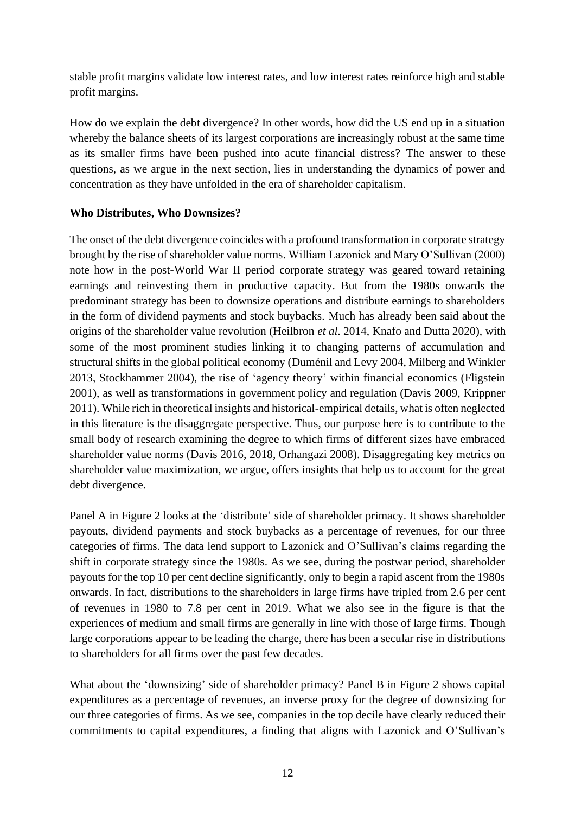stable profit margins validate low interest rates, and low interest rates reinforce high and stable profit margins.

How do we explain the debt divergence? In other words, how did the US end up in a situation whereby the balance sheets of its largest corporations are increasingly robust at the same time as its smaller firms have been pushed into acute financial distress? The answer to these questions, as we argue in the next section, lies in understanding the dynamics of power and concentration as they have unfolded in the era of shareholder capitalism.

## **Who Distributes, Who Downsizes?**

The onset of the debt divergence coincides with a profound transformation in corporate strategy brought by the rise of shareholder value norms. William Lazonick and Mary O'Sullivan (2000) note how in the post-World War II period corporate strategy was geared toward retaining earnings and reinvesting them in productive capacity. But from the 1980s onwards the predominant strategy has been to downsize operations and distribute earnings to shareholders in the form of dividend payments and stock buybacks. Much has already been said about the origins of the shareholder value revolution (Heilbron *et al*. 2014, Knafo and Dutta 2020), with some of the most prominent studies linking it to changing patterns of accumulation and structural shifts in the global political economy (Duménil and Levy 2004, Milberg and Winkler 2013, Stockhammer 2004), the rise of 'agency theory' within financial economics (Fligstein 2001), as well as transformations in government policy and regulation (Davis 2009, Krippner 2011). While rich in theoretical insights and historical-empirical details, what is often neglected in this literature is the disaggregate perspective. Thus, our purpose here is to contribute to the small body of research examining the degree to which firms of different sizes have embraced shareholder value norms (Davis 2016, 2018, Orhangazi 2008). Disaggregating key metrics on shareholder value maximization, we argue, offers insights that help us to account for the great debt divergence.

Panel A in Figure 2 looks at the 'distribute' side of shareholder primacy. It shows shareholder payouts, dividend payments and stock buybacks as a percentage of revenues, for our three categories of firms. The data lend support to Lazonick and O'Sullivan's claims regarding the shift in corporate strategy since the 1980s. As we see, during the postwar period, shareholder payouts for the top 10 per cent decline significantly, only to begin a rapid ascent from the 1980s onwards. In fact, distributions to the shareholders in large firms have tripled from 2.6 per cent of revenues in 1980 to 7.8 per cent in 2019. What we also see in the figure is that the experiences of medium and small firms are generally in line with those of large firms. Though large corporations appear to be leading the charge, there has been a secular rise in distributions to shareholders for all firms over the past few decades.

What about the 'downsizing' side of shareholder primacy? Panel B in Figure 2 shows capital expenditures as a percentage of revenues, an inverse proxy for the degree of downsizing for our three categories of firms. As we see, companies in the top decile have clearly reduced their commitments to capital expenditures, a finding that aligns with Lazonick and O'Sullivan's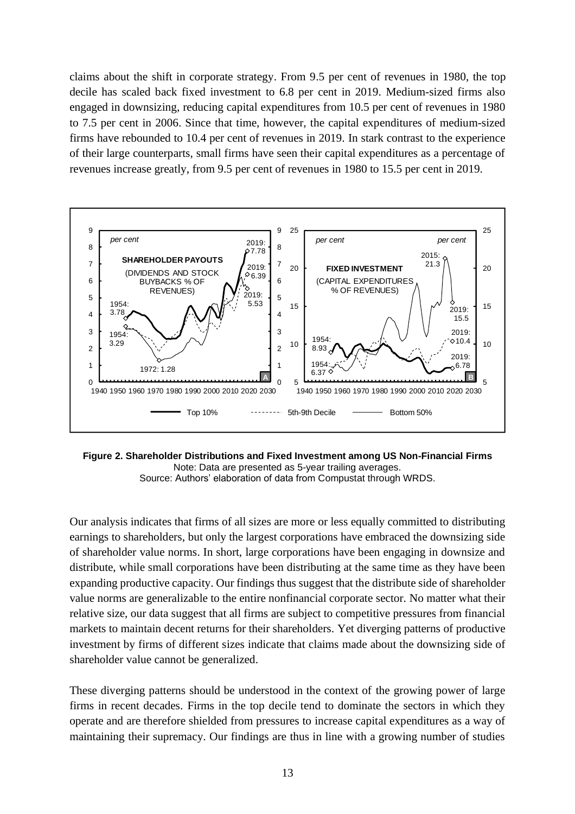claims about the shift in corporate strategy. From 9.5 per cent of revenues in 1980, the top decile has scaled back fixed investment to 6.8 per cent in 2019. Medium-sized firms also engaged in downsizing, reducing capital expenditures from 10.5 per cent of revenues in 1980 to 7.5 per cent in 2006. Since that time, however, the capital expenditures of medium-sized firms have rebounded to 10.4 per cent of revenues in 2019. In stark contrast to the experience of their large counterparts, small firms have seen their capital expenditures as a percentage of revenues increase greatly, from 9.5 per cent of revenues in 1980 to 15.5 per cent in 2019.



**Figure 2. Shareholder Distributions and Fixed Investment among US Non-Financial Firms** Note: Data are presented as 5-year trailing averages. Source: Authors' elaboration of data from Compustat through WRDS.

Our analysis indicates that firms of all sizes are more or less equally committed to distributing earnings to shareholders, but only the largest corporations have embraced the downsizing side of shareholder value norms. In short, large corporations have been engaging in downsize and distribute, while small corporations have been distributing at the same time as they have been expanding productive capacity. Our findings thus suggest that the distribute side of shareholder value norms are generalizable to the entire nonfinancial corporate sector. No matter what their relative size, our data suggest that all firms are subject to competitive pressures from financial markets to maintain decent returns for their shareholders. Yet diverging patterns of productive investment by firms of different sizes indicate that claims made about the downsizing side of shareholder value cannot be generalized.

These diverging patterns should be understood in the context of the growing power of large firms in recent decades. Firms in the top decile tend to dominate the sectors in which they operate and are therefore shielded from pressures to increase capital expenditures as a way of maintaining their supremacy. Our findings are thus in line with a growing number of studies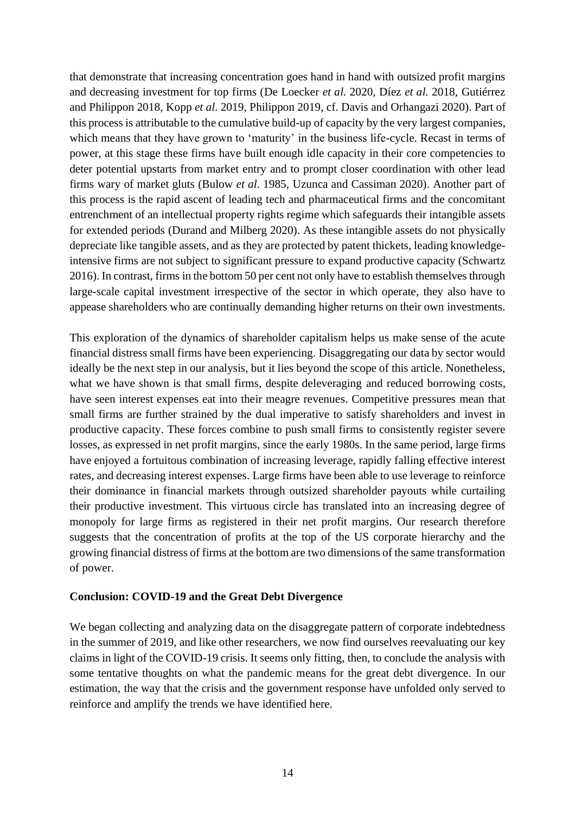that demonstrate that increasing concentration goes hand in hand with outsized profit margins and decreasing investment for top firms (De Loecker *et al.* 2020, Díez *et al.* 2018, Gutiérrez and Philippon 2018, Kopp *et al*. 2019, Philippon 2019, cf. Davis and Orhangazi 2020). Part of this process is attributable to the cumulative build-up of capacity by the very largest companies, which means that they have grown to 'maturity' in the business life-cycle. Recast in terms of power, at this stage these firms have built enough idle capacity in their core competencies to deter potential upstarts from market entry and to prompt closer coordination with other lead firms wary of market gluts (Bulow *et al*. 1985, Uzunca and Cassiman 2020). Another part of this process is the rapid ascent of leading tech and pharmaceutical firms and the concomitant entrenchment of an intellectual property rights regime which safeguards their intangible assets for extended periods (Durand and Milberg 2020). As these intangible assets do not physically depreciate like tangible assets, and as they are protected by patent thickets, leading knowledgeintensive firms are not subject to significant pressure to expand productive capacity (Schwartz 2016). In contrast, firms in the bottom 50 per cent not only have to establish themselves through large-scale capital investment irrespective of the sector in which operate, they also have to appease shareholders who are continually demanding higher returns on their own investments.

This exploration of the dynamics of shareholder capitalism helps us make sense of the acute financial distress small firms have been experiencing. Disaggregating our data by sector would ideally be the next step in our analysis, but it lies beyond the scope of this article. Nonetheless, what we have shown is that small firms, despite deleveraging and reduced borrowing costs, have seen interest expenses eat into their meagre revenues. Competitive pressures mean that small firms are further strained by the dual imperative to satisfy shareholders and invest in productive capacity. These forces combine to push small firms to consistently register severe losses, as expressed in net profit margins, since the early 1980s. In the same period, large firms have enjoyed a fortuitous combination of increasing leverage, rapidly falling effective interest rates, and decreasing interest expenses. Large firms have been able to use leverage to reinforce their dominance in financial markets through outsized shareholder payouts while curtailing their productive investment. This virtuous circle has translated into an increasing degree of monopoly for large firms as registered in their net profit margins. Our research therefore suggests that the concentration of profits at the top of the US corporate hierarchy and the growing financial distress of firms at the bottom are two dimensions of the same transformation of power.

## **Conclusion: COVID-19 and the Great Debt Divergence**

We began collecting and analyzing data on the disaggregate pattern of corporate indebtedness in the summer of 2019, and like other researchers, we now find ourselves reevaluating our key claims in light of the COVID-19 crisis. It seems only fitting, then, to conclude the analysis with some tentative thoughts on what the pandemic means for the great debt divergence. In our estimation, the way that the crisis and the government response have unfolded only served to reinforce and amplify the trends we have identified here.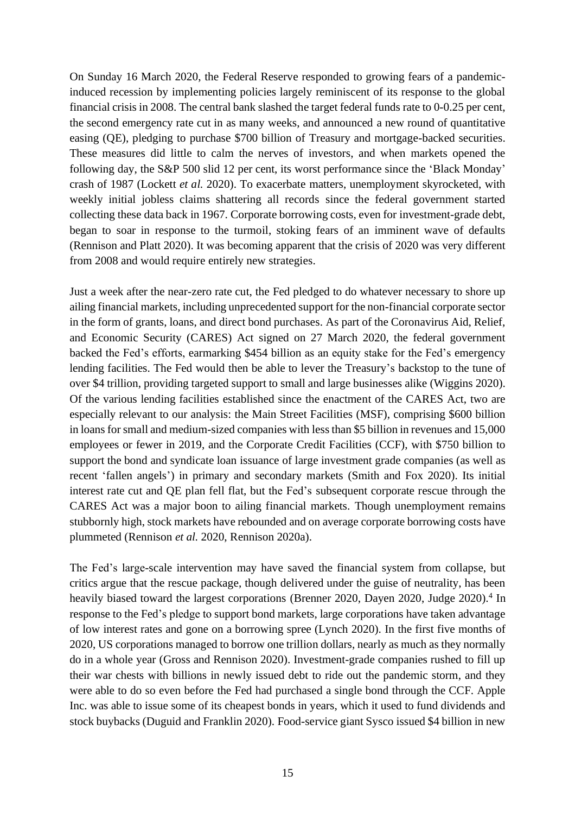On Sunday 16 March 2020, the Federal Reserve responded to growing fears of a pandemicinduced recession by implementing policies largely reminiscent of its response to the global financial crisis in 2008. The central bank slashed the target federal funds rate to 0-0.25 per cent, the second emergency rate cut in as many weeks, and announced a new round of quantitative easing (QE), pledging to purchase \$700 billion of Treasury and mortgage-backed securities. These measures did little to calm the nerves of investors, and when markets opened the following day, the S&P 500 slid 12 per cent, its worst performance since the 'Black Monday' crash of 1987 (Lockett *et al.* 2020). To exacerbate matters, unemployment skyrocketed, with weekly initial jobless claims shattering all records since the federal government started collecting these data back in 1967. Corporate borrowing costs, even for investment-grade debt, began to soar in response to the turmoil, stoking fears of an imminent wave of defaults (Rennison and Platt 2020). It was becoming apparent that the crisis of 2020 was very different from 2008 and would require entirely new strategies.

Just a week after the near-zero rate cut, the Fed pledged to do whatever necessary to shore up ailing financial markets, including unprecedented support for the non-financial corporate sector in the form of grants, loans, and direct bond purchases. As part of the Coronavirus Aid, Relief, and Economic Security (CARES) Act signed on 27 March 2020, the federal government backed the Fed's efforts, earmarking \$454 billion as an equity stake for the Fed's emergency lending facilities. The Fed would then be able to lever the Treasury's backstop to the tune of over \$4 trillion, providing targeted support to small and large businesses alike (Wiggins 2020). Of the various lending facilities established since the enactment of the CARES Act, two are especially relevant to our analysis: the Main Street Facilities (MSF), comprising \$600 billion in loans forsmall and medium-sized companies with less than \$5 billion in revenues and 15,000 employees or fewer in 2019, and the Corporate Credit Facilities (CCF), with \$750 billion to support the bond and syndicate loan issuance of large investment grade companies (as well as recent 'fallen angels') in primary and secondary markets (Smith and Fox 2020). Its initial interest rate cut and QE plan fell flat, but the Fed's subsequent corporate rescue through the CARES Act was a major boon to ailing financial markets. Though unemployment remains stubbornly high, stock markets have rebounded and on average corporate borrowing costs have plummeted (Rennison *et al.* 2020, Rennison 2020a).

The Fed's large-scale intervention may have saved the financial system from collapse, but critics argue that the rescue package, though delivered under the guise of neutrality, has been heavily biased toward the largest corporations (Brenner 2020, Dayen 2020, Judge 2020).<sup>4</sup> In response to the Fed's pledge to support bond markets, large corporations have taken advantage of low interest rates and gone on a borrowing spree (Lynch 2020). In the first five months of 2020, US corporations managed to borrow one trillion dollars, nearly as much as they normally do in a whole year (Gross and Rennison 2020). Investment-grade companies rushed to fill up their war chests with billions in newly issued debt to ride out the pandemic storm, and they were able to do so even before the Fed had purchased a single bond through the CCF. Apple Inc. was able to issue some of its cheapest bonds in years, which it used to fund dividends and stock buybacks (Duguid and Franklin 2020). Food-service giant Sysco issued \$4 billion in new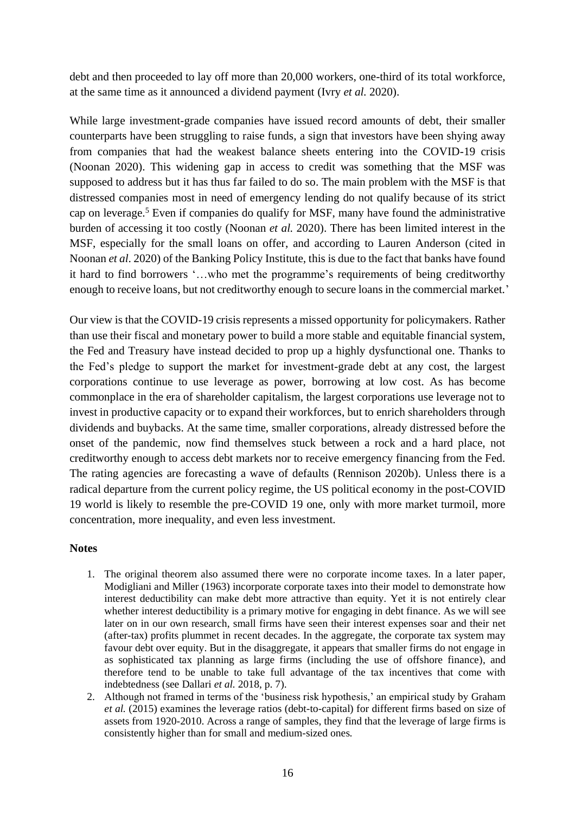debt and then proceeded to lay off more than 20,000 workers, one-third of its total workforce, at the same time as it announced a dividend payment (Ivry *et al.* 2020).

While large investment-grade companies have issued record amounts of debt, their smaller counterparts have been struggling to raise funds, a sign that investors have been shying away from companies that had the weakest balance sheets entering into the COVID-19 crisis (Noonan 2020). This widening gap in access to credit was something that the MSF was supposed to address but it has thus far failed to do so. The main problem with the MSF is that distressed companies most in need of emergency lending do not qualify because of its strict cap on leverage. <sup>5</sup> Even if companies do qualify for MSF, many have found the administrative burden of accessing it too costly (Noonan *et al.* 2020). There has been limited interest in the MSF, especially for the small loans on offer, and according to Lauren Anderson (cited in Noonan *et al*. 2020) of the Banking Policy Institute, this is due to the fact that banks have found it hard to find borrowers '…who met the programme's requirements of being creditworthy enough to receive loans, but not creditworthy enough to secure loans in the commercial market.'

Our view is that the COVID-19 crisis represents a missed opportunity for policymakers. Rather than use their fiscal and monetary power to build a more stable and equitable financial system, the Fed and Treasury have instead decided to prop up a highly dysfunctional one. Thanks to the Fed's pledge to support the market for investment-grade debt at any cost, the largest corporations continue to use leverage as power, borrowing at low cost. As has become commonplace in the era of shareholder capitalism, the largest corporations use leverage not to invest in productive capacity or to expand their workforces, but to enrich shareholders through dividends and buybacks. At the same time, smaller corporations, already distressed before the onset of the pandemic, now find themselves stuck between a rock and a hard place, not creditworthy enough to access debt markets nor to receive emergency financing from the Fed. The rating agencies are forecasting a wave of defaults (Rennison 2020b). Unless there is a radical departure from the current policy regime, the US political economy in the post-COVID 19 world is likely to resemble the pre-COVID 19 one, only with more market turmoil, more concentration, more inequality, and even less investment.

## **Notes**

- 1. The original theorem also assumed there were no corporate income taxes. In a later paper, Modigliani and Miller (1963) incorporate corporate taxes into their model to demonstrate how interest deductibility can make debt more attractive than equity. Yet it is not entirely clear whether interest deductibility is a primary motive for engaging in debt finance. As we will see later on in our own research, small firms have seen their interest expenses soar and their net (after-tax) profits plummet in recent decades. In the aggregate, the corporate tax system may favour debt over equity. But in the disaggregate, it appears that smaller firms do not engage in as sophisticated tax planning as large firms (including the use of offshore finance), and therefore tend to be unable to take full advantage of the tax incentives that come with indebtedness (see Dallari *et al.* 2018, p. 7).
- 2. Although not framed in terms of the 'business risk hypothesis,' an empirical study by Graham *et al.* (2015) examines the leverage ratios (debt-to-capital) for different firms based on size of assets from 1920-2010. Across a range of samples, they find that the leverage of large firms is consistently higher than for small and medium-sized ones.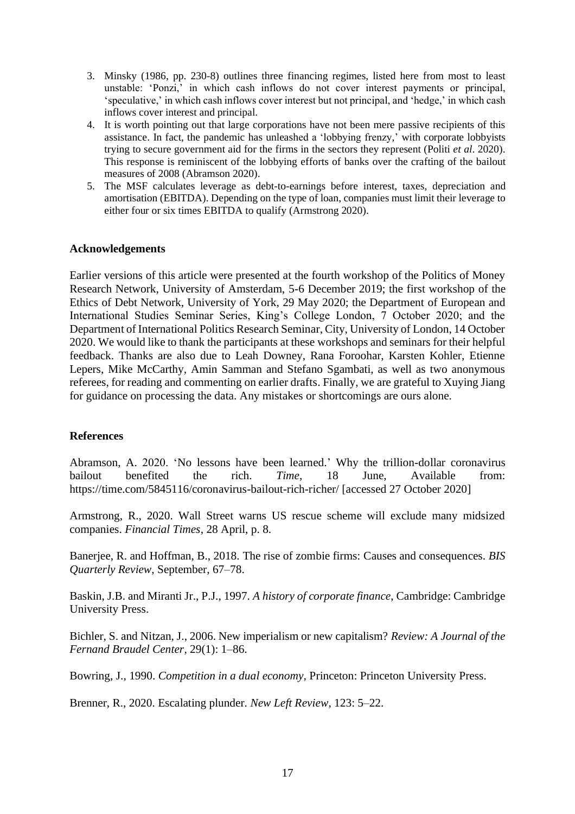- 3. Minsky (1986, pp. 230-8) outlines three financing regimes, listed here from most to least unstable: 'Ponzi,' in which cash inflows do not cover interest payments or principal, 'speculative,' in which cash inflows cover interest but not principal, and 'hedge,' in which cash inflows cover interest and principal.
- 4. It is worth pointing out that large corporations have not been mere passive recipients of this assistance. In fact, the pandemic has unleashed a 'lobbying frenzy,' with corporate lobbyists trying to secure government aid for the firms in the sectors they represent (Politi *et al*. 2020). This response is reminiscent of the lobbying efforts of banks over the crafting of the bailout measures of 2008 (Abramson 2020).
- 5. The MSF calculates leverage as debt-to-earnings before interest, taxes, depreciation and amortisation (EBITDA). Depending on the type of loan, companies must limit their leverage to either four or six times EBITDA to qualify (Armstrong 2020).

## **Acknowledgements**

Earlier versions of this article were presented at the fourth workshop of the Politics of Money Research Network, University of Amsterdam, 5-6 December 2019; the first workshop of the Ethics of Debt Network, University of York, 29 May 2020; the Department of European and International Studies Seminar Series, King's College London, 7 October 2020; and the Department of International Politics Research Seminar, City, University of London, 14 October 2020. We would like to thank the participants at these workshops and seminars for their helpful feedback. Thanks are also due to Leah Downey, Rana Foroohar, Karsten Kohler, Etienne Lepers, Mike McCarthy, Amin Samman and Stefano Sgambati, as well as two anonymous referees, for reading and commenting on earlier drafts. Finally, we are grateful to Xuying Jiang for guidance on processing the data. Any mistakes or shortcomings are ours alone.

## **References**

Abramson, A. 2020. 'No lessons have been learned.' Why the trillion-dollar coronavirus bailout benefited the rich. *Time*, 18 June, Available from: https://time.com/5845116/coronavirus-bailout-rich-richer/ [accessed 27 October 2020]

Armstrong, R., 2020. Wall Street warns US rescue scheme will exclude many midsized companies. *Financial Times*, 28 April, p. 8.

Banerjee, R. and Hoffman, B., 2018. The rise of zombie firms: Causes and consequences. *BIS Quarterly Review*, September, 67–78.

Baskin, J.B. and Miranti Jr., P.J., 1997. *A history of corporate finance*, Cambridge: Cambridge University Press.

Bichler, S. and Nitzan, J., 2006. New imperialism or new capitalism? *Review: A Journal of the Fernand Braudel Center*, 29(1): 1–86.

Bowring, J., 1990. *Competition in a dual economy*, Princeton: Princeton University Press.

Brenner, R., 2020. Escalating plunder. *New Left Review*, 123: 5–22.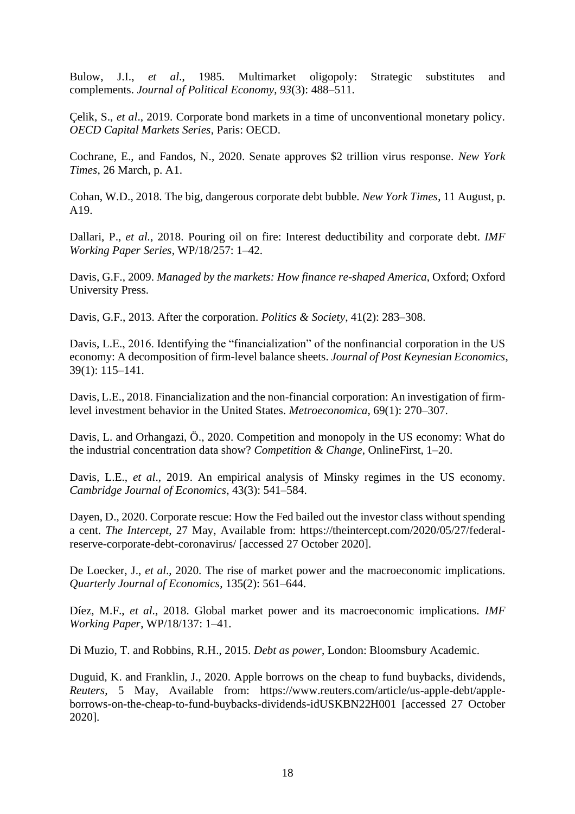Bulow, J.I., *et al*., 1985. Multimarket oligopoly: Strategic substitutes and complements. *Journal of Political Economy*, *93*(3): 488–511.

Çelik, S., *et al*., 2019. Corporate bond markets in a time of unconventional monetary policy. *OECD Capital Markets Series*, Paris: OECD.

Cochrane, E., and Fandos, N., 2020. Senate approves \$2 trillion virus response. *New York Times*, 26 March, p. A1.

Cohan, W.D., 2018. The big, dangerous corporate debt bubble. *New York Times*, 11 August, p. A19.

Dallari, P., *et al.*, 2018. Pouring oil on fire: Interest deductibility and corporate debt. *IMF Working Paper Series*, WP/18/257: 1–42.

Davis, G.F., 2009. *Managed by the markets: How finance re-shaped America*, Oxford; Oxford University Press.

Davis, G.F., 2013. After the corporation. *Politics & Society*, 41(2): 283–308.

Davis, L.E., 2016. Identifying the "financialization" of the nonfinancial corporation in the US economy: A decomposition of firm-level balance sheets. *Journal of Post Keynesian Economics*, 39(1): 115–141.

Davis, L.E., 2018. Financialization and the non-financial corporation: An investigation of firmlevel investment behavior in the United States. *Metroeconomica*, 69(1): 270–307.

Davis, L. and Orhangazi, Ö., 2020. Competition and monopoly in the US economy: What do the industrial concentration data show? *Competition & Change*, OnlineFirst, 1–20.

Davis, L.E., *et al.*, 2019. An empirical analysis of Minsky regimes in the US economy. *Cambridge Journal of Economics*, 43(3): 541–584.

Dayen, D., 2020. Corporate rescue: How the Fed bailed out the investor class without spending a cent. *The Intercept*, 27 May, Available from: https://theintercept.com/2020/05/27/federalreserve-corporate-debt-coronavirus/ [accessed 27 October 2020].

De Loecker, J., *et al*., 2020. The rise of market power and the macroeconomic implications. *Quarterly Journal of Economics*, 135(2): 561–644.

Díez, M.F., *et al*., 2018. Global market power and its macroeconomic implications. *IMF Working Paper*, WP/18/137: 1–41.

Di Muzio, T. and Robbins, R.H., 2015. *Debt as power*, London: Bloomsbury Academic.

Duguid, K. and Franklin, J., 2020. Apple borrows on the cheap to fund buybacks, dividends, *Reuters*, 5 May, Available from: https://www.reuters.com/article/us-apple-debt/appleborrows-on-the-cheap-to-fund-buybacks-dividends-idUSKBN22H001 [accessed 27 October 2020].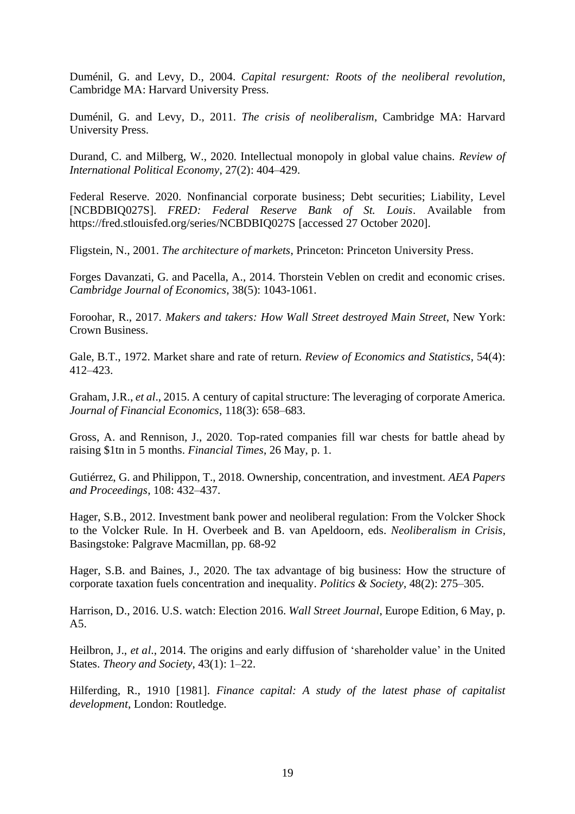Duménil, G. and Levy, D., 2004. *Capital resurgent: Roots of the neoliberal revolution*, Cambridge MA: Harvard University Press.

Duménil, G. and Levy, D., 2011. *The crisis of neoliberalism*, Cambridge MA: Harvard University Press.

Durand, C. and Milberg, W., 2020. Intellectual monopoly in global value chains. *Review of International Political Economy*, 27(2): 404–429.

Federal Reserve. 2020. Nonfinancial corporate business; Debt securities; Liability, Level [NCBDBIQ027S]. *FRED: Federal Reserve Bank of St. Louis*. Available from https://fred.stlouisfed.org/series/NCBDBIQ027S [accessed 27 October 2020].

Fligstein, N., 2001. *The architecture of markets*, Princeton: Princeton University Press.

Forges Davanzati, G. and Pacella, A., 2014. Thorstein Veblen on credit and economic crises. *Cambridge Journal of Economics*, 38(5): 1043-1061.

Foroohar, R., 2017. *Makers and takers: How Wall Street destroyed Main Street*, New York: Crown Business.

Gale, B.T., 1972. Market share and rate of return. *Review of Economics and Statistics*, 54(4): 412–423.

Graham, J.R., *et al*., 2015. A century of capital structure: The leveraging of corporate America. *Journal of Financial Economics*, 118(3): 658–683.

Gross, A. and Rennison, J., 2020. Top-rated companies fill war chests for battle ahead by raising \$1tn in 5 months. *Financial Times*, 26 May, p. 1.

Gutiérrez, G. and Philippon, T., 2018. Ownership, concentration, and investment. *AEA Papers and Proceedings*, 108: 432–437.

Hager, S.B., 2012. Investment bank power and neoliberal regulation: From the Volcker Shock to the Volcker Rule. In H. Overbeek and B. van Apeldoorn, eds. *Neoliberalism in Crisis*, Basingstoke: Palgrave Macmillan, pp. 68-92

Hager, S.B. and Baines, J., 2020. The tax advantage of big business: How the structure of corporate taxation fuels concentration and inequality*. Politics & Society*, 48(2): 275–305.

Harrison, D., 2016. U.S. watch: Election 2016. *Wall Street Journal*, Europe Edition, 6 May, p. A5.

Heilbron, J., *et al*., 2014. The origins and early diffusion of 'shareholder value' in the United States. *Theory and Society*, 43(1): 1–22.

Hilferding, R., 1910 [1981]. *Finance capital: A study of the latest phase of capitalist development*, London: Routledge.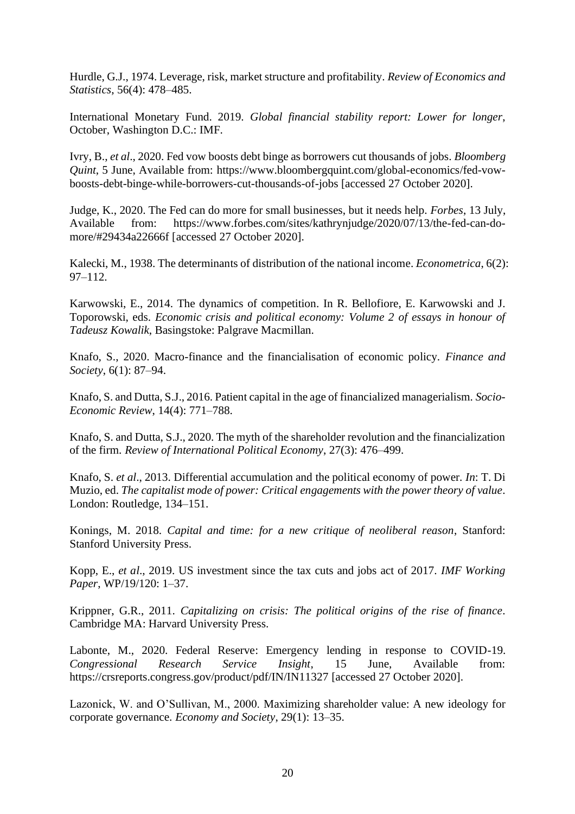Hurdle, G.J., 1974. Leverage, risk, market structure and profitability. *Review of Economics and Statistics*, 56(4): 478–485.

International Monetary Fund. 2019. *Global financial stability report: Lower for longer*, October, Washington D.C.: IMF.

Ivry, B., *et al*., 2020. Fed vow boosts debt binge as borrowers cut thousands of jobs. *Bloomberg Quint*, 5 June, Available from: https://www.bloombergquint.com/global-economics/fed-vowboosts-debt-binge-while-borrowers-cut-thousands-of-jobs [accessed 27 October 2020].

Judge, K., 2020. The Fed can do more for small businesses, but it needs help. *Forbes*, 13 July, Available from: https://www.forbes.com/sites/kathrynjudge/2020/07/13/the-fed-can-domore/#29434a22666f [accessed 27 October 2020].

Kalecki, M., 1938. The determinants of distribution of the national income. *Econometrica*, 6(2): 97–112.

Karwowski, E., 2014. The dynamics of competition. In R. Bellofiore, E. Karwowski and J. Toporowski, eds. *Economic crisis and political economy: Volume 2 of essays in honour of Tadeusz Kowalik*, Basingstoke: Palgrave Macmillan.

Knafo, S., 2020. Macro-finance and the financialisation of economic policy*. Finance and Society*, 6(1): 87–94.

Knafo, S. and Dutta, S.J., 2016. Patient capital in the age of financialized managerialism. *Socio-Economic Review*, 14(4): 771–788.

Knafo, S. and Dutta, S.J., 2020. The myth of the shareholder revolution and the financialization of the firm. *Review of International Political Economy*, 27(3): 476–499.

Knafo, S. *et al*., 2013. Differential accumulation and the political economy of power. *In*: T. Di Muzio, ed. *The capitalist mode of power: Critical engagements with the power theory of value*. London: Routledge, 134–151.

Konings, M. 2018. *Capital and time: for a new critique of neoliberal reason*, Stanford: Stanford University Press.

Kopp, E., *et al*., 2019. US investment since the tax cuts and jobs act of 2017. *IMF Working Paper*, WP/19/120: 1–37.

Krippner, G.R., 2011. *Capitalizing on crisis: The political origins of the rise of finance*. Cambridge MA: Harvard University Press.

Labonte, M., 2020. Federal Reserve: Emergency lending in response to COVID-19. *Congressional Research Service Insight*, 15 June, Available from: https://crsreports.congress.gov/product/pdf/IN/IN11327 [accessed 27 October 2020].

Lazonick, W. and O'Sullivan, M., 2000. Maximizing shareholder value: A new ideology for corporate governance. *Economy and Society*, 29(1): 13–35.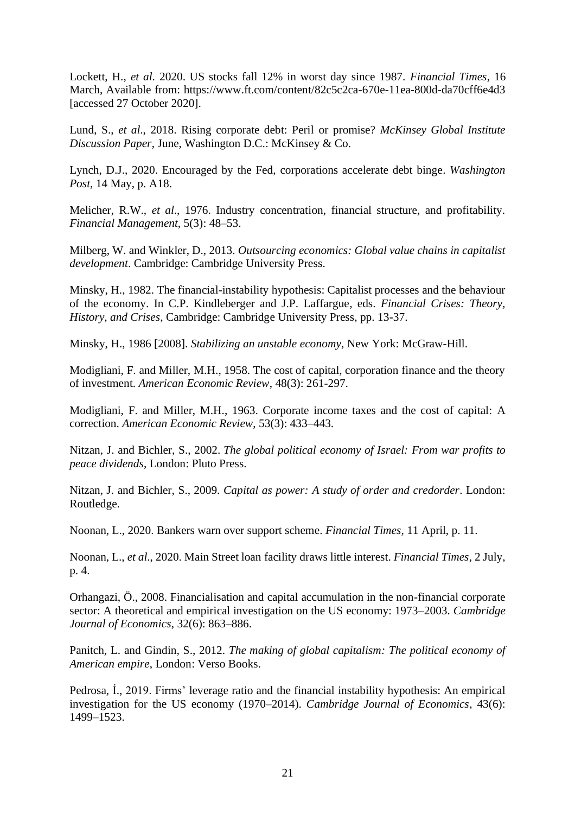Lockett, H., *et al*. 2020. US stocks fall 12% in worst day since 1987. *Financial Times*, 16 March, Available from: https://www.ft.com/content/82c5c2ca-670e-11ea-800d-da70cff6e4d3 [accessed 27 October 2020].

Lund, S., *et al*., 2018. Rising corporate debt: Peril or promise? *McKinsey Global Institute Discussion Paper*, June, Washington D.C.: McKinsey & Co.

Lynch, D.J., 2020. Encouraged by the Fed, corporations accelerate debt binge. *Washington Post*, 14 May, p. A18.

Melicher, R.W., *et al*., 1976. Industry concentration, financial structure, and profitability. *Financial Management*, 5(3): 48–53.

Milberg, W. and Winkler, D., 2013. *Outsourcing economics: Global value chains in capitalist development*. Cambridge: Cambridge University Press.

Minsky, H., 1982. The financial-instability hypothesis: Capitalist processes and the behaviour of the economy. In C.P. Kindleberger and J.P. Laffargue, eds. *Financial Crises: Theory, History, and Crises*, Cambridge: Cambridge University Press, pp. 13-37.

Minsky, H., 1986 [2008]. *Stabilizing an unstable economy*, New York: McGraw-Hill.

Modigliani, F. and Miller, M.H., 1958. The cost of capital, corporation finance and the theory of investment. *American Economic Review*, 48(3): 261-297.

Modigliani, F. and Miller, M.H., 1963. Corporate income taxes and the cost of capital: A correction. *American Economic Review*, 53(3): 433–443.

Nitzan, J. and Bichler, S., 2002. *The global political economy of Israel: From war profits to peace dividends*, London: Pluto Press.

Nitzan, J. and Bichler, S., 2009. *Capital as power: A study of order and credorder*. London: Routledge.

Noonan, L., 2020. Bankers warn over support scheme. *Financial Times*, 11 April, p. 11.

Noonan, L., *et al*., 2020. Main Street loan facility draws little interest. *Financial Times*, 2 July, p. 4.

Orhangazi, Ö., 2008. Financialisation and capital accumulation in the non-financial corporate sector: A theoretical and empirical investigation on the US economy: 1973–2003. *Cambridge Journal of Economics*, 32(6): 863–886.

Panitch, L. and Gindin, S., 2012. *The making of global capitalism: The political economy of American empire*, London: Verso Books.

Pedrosa, Í., 2019. Firms' leverage ratio and the financial instability hypothesis: An empirical investigation for the US economy (1970–2014). *Cambridge Journal of Economics*, 43(6): 1499–1523.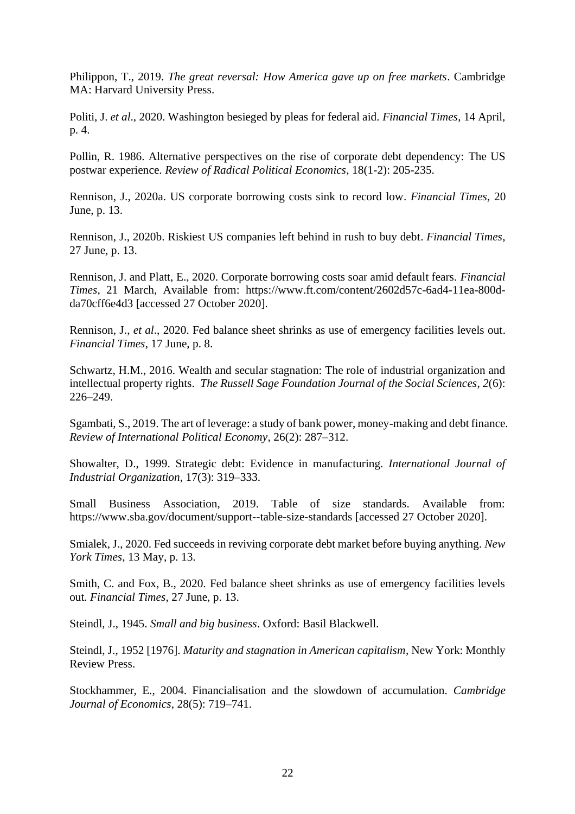Philippon, T., 2019. *The great reversal: How America gave up on free markets*. Cambridge MA: Harvard University Press.

Politi, J. *et al*., 2020. Washington besieged by pleas for federal aid. *Financial Times*, 14 April, p. 4.

Pollin, R. 1986. Alternative perspectives on the rise of corporate debt dependency: The US postwar experience. *Review of Radical Political Economics*, 18(1-2): 205-235.

Rennison, J., 2020a. US corporate borrowing costs sink to record low. *Financial Times*, 20 June, p. 13.

Rennison, J., 2020b. Riskiest US companies left behind in rush to buy debt. *Financial Times*, 27 June, p. 13.

Rennison, J. and Platt, E., 2020. Corporate borrowing costs soar amid default fears. *Financial Times*, 21 March, Available from: https://www.ft.com/content/2602d57c-6ad4-11ea-800dda70cff6e4d3 [accessed 27 October 2020].

Rennison, J., *et al*., 2020. Fed balance sheet shrinks as use of emergency facilities levels out. *Financial Times*, 17 June, p. 8.

Schwartz, H.M., 2016. Wealth and secular stagnation: The role of industrial organization and intellectual property rights. *The Russell Sage Foundation Journal of the Social Sciences*, *2*(6): 226–249.

Sgambati, S., 2019. The art of leverage: a study of bank power, money-making and debt finance. *Review of International Political Economy*, 26(2): 287–312.

Showalter, D., 1999. Strategic debt: Evidence in manufacturing. *International Journal of Industrial Organization*, 17(3): 319–333.

Small Business Association, 2019. Table of size standards. Available from: https://www.sba.gov/document/support--table-size-standards [accessed 27 October 2020].

Smialek, J., 2020. Fed succeeds in reviving corporate debt market before buying anything. *New York Times*, 13 May, p. 13.

Smith, C. and Fox, B., 2020. Fed balance sheet shrinks as use of emergency facilities levels out. *Financial Times*, 27 June, p. 13.

Steindl, J., 1945. *Small and big business*. Oxford: Basil Blackwell.

Steindl, J., 1952 [1976]. *Maturity and stagnation in American capitalism*, New York: Monthly Review Press.

Stockhammer, E., 2004. Financialisation and the slowdown of accumulation. *Cambridge Journal of Economics*, 28(5): 719–741.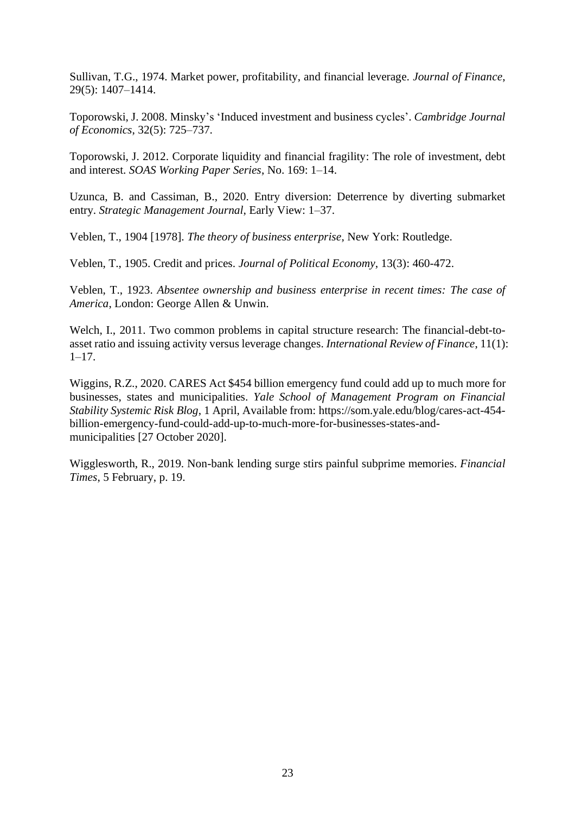Sullivan, T.G., 1974. Market power, profitability, and financial leverage. *Journal of Finance*, 29(5): 1407–1414.

Toporowski, J. 2008. Minsky's 'Induced investment and business cycles'. *Cambridge Journal of Economics*, 32(5): 725–737.

Toporowski, J. 2012. Corporate liquidity and financial fragility: The role of investment, debt and interest. *SOAS Working Paper Series*, No. 169: 1–14.

Uzunca, B. and Cassiman, B., 2020. Entry diversion: Deterrence by diverting submarket entry. *Strategic Management Journal*, Early View: 1–37.

Veblen, T., 1904 [1978]. *The theory of business enterprise*, New York: Routledge.

Veblen, T., 1905. Credit and prices. *Journal of Political Economy*, 13(3): 460-472.

Veblen, T., 1923. *Absentee ownership and business enterprise in recent times: The case of America*, London: George Allen & Unwin.

Welch, I., 2011. Two common problems in capital structure research: The financial-debt-toasset ratio and issuing activity versus leverage changes. *International Review of Finance*, 11(1):  $1-17.$ 

Wiggins, R.Z., 2020. CARES Act \$454 billion emergency fund could add up to much more for businesses, states and municipalities. *Yale School of Management Program on Financial Stability Systemic Risk Blog*, 1 April, Available from: https://som.yale.edu/blog/cares-act-454 billion-emergency-fund-could-add-up-to-much-more-for-businesses-states-andmunicipalities [27 October 2020].

Wigglesworth, R., 2019. Non-bank lending surge stirs painful subprime memories. *Financial Times*, 5 February, p. 19.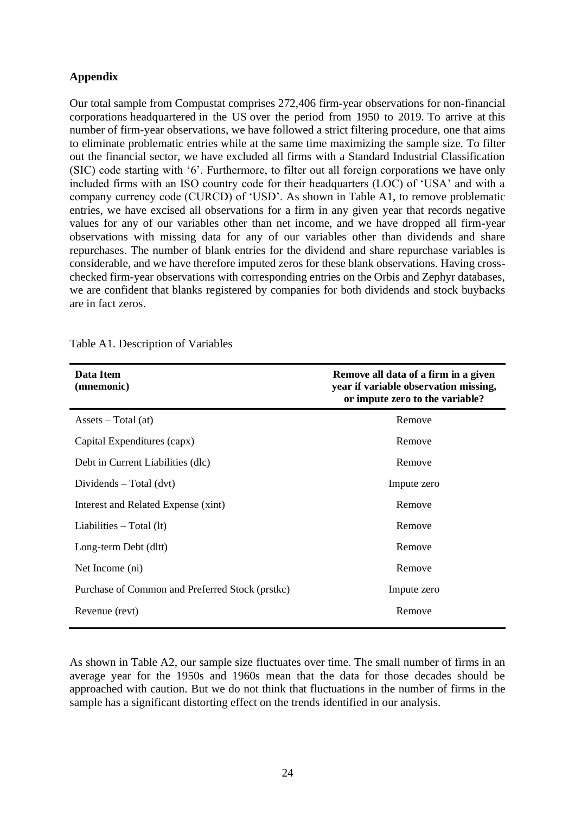## **Appendix**

Our total sample from Compustat comprises 272,406 firm-year observations for non-financial corporations headquartered in the US over the period from 1950 to 2019. To arrive at this number of firm-year observations, we have followed a strict filtering procedure, one that aims to eliminate problematic entries while at the same time maximizing the sample size. To filter out the financial sector, we have excluded all firms with a Standard Industrial Classification (SIC) code starting with '6'. Furthermore, to filter out all foreign corporations we have only included firms with an ISO country code for their headquarters (LOC) of 'USA' and with a company currency code (CURCD) of 'USD'. As shown in Table A1, to remove problematic entries, we have excised all observations for a firm in any given year that records negative values for any of our variables other than net income, and we have dropped all firm-year observations with missing data for any of our variables other than dividends and share repurchases. The number of blank entries for the dividend and share repurchase variables is considerable, and we have therefore imputed zeros for these blank observations. Having crosschecked firm-year observations with corresponding entries on the Orbis and Zephyr databases, we are confident that blanks registered by companies for both dividends and stock buybacks are in fact zeros.

| Data Item<br>(mnemonic)                         | Remove all data of a firm in a given<br>year if variable observation missing,<br>or impute zero to the variable? |  |  |  |
|-------------------------------------------------|------------------------------------------------------------------------------------------------------------------|--|--|--|
| $\text{Assets} - \text{Total}(\text{at})$       | Remove                                                                                                           |  |  |  |
| Capital Expenditures (capx)                     | Remove                                                                                                           |  |  |  |
| Debt in Current Liabilities (dlc)               | Remove                                                                                                           |  |  |  |
| Dividends $-$ Total (dvt)                       | Impute zero                                                                                                      |  |  |  |
| Interest and Related Expense (xint)             | Remove                                                                                                           |  |  |  |
| Liabilities $-$ Total (1t)                      | Remove                                                                                                           |  |  |  |
| Long-term Debt (dltt)                           | Remove                                                                                                           |  |  |  |
| Net Income (ni)                                 | Remove                                                                                                           |  |  |  |
| Purchase of Common and Preferred Stock (prstkc) | Impute zero                                                                                                      |  |  |  |
| Revenue (revt)                                  | Remove                                                                                                           |  |  |  |

Table A1. Description of Variables

As shown in Table A2, our sample size fluctuates over time. The small number of firms in an average year for the 1950s and 1960s mean that the data for those decades should be approached with caution. But we do not think that fluctuations in the number of firms in the sample has a significant distorting effect on the trends identified in our analysis.